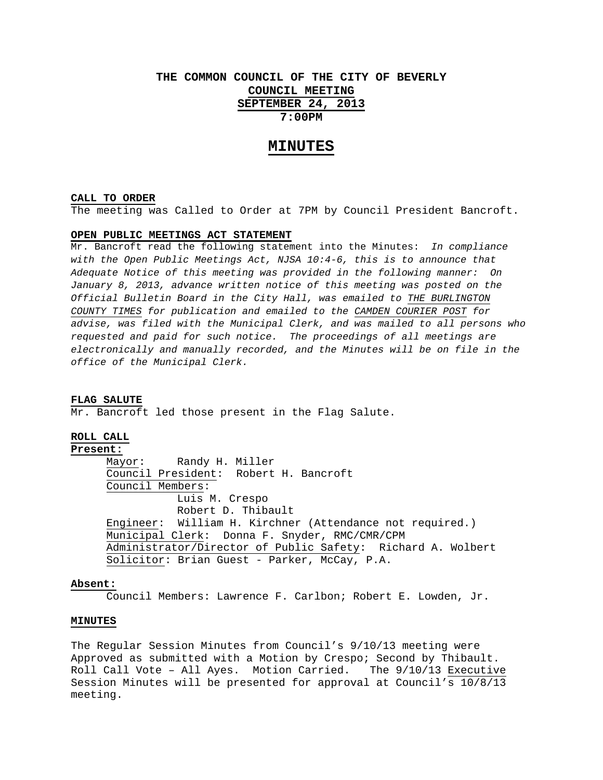# **THE COMMON COUNCIL OF THE CITY OF BEVERLY COUNCIL MEETING SEPTEMBER 24, 2013 7:00PM**

## **MINUTES**

#### **CALL TO ORDER**

The meeting was Called to Order at 7PM by Council President Bancroft.

### **OPEN PUBLIC MEETINGS ACT STATEMENT**

Mr. Bancroft read the following statement into the Minutes: *In compliance with the Open Public Meetings Act, NJSA 10:4-6, this is to announce that Adequate Notice of this meeting was provided in the following manner: On January 8, 2013, advance written notice of this meeting was posted on the Official Bulletin Board in the City Hall, was emailed to THE BURLINGTON COUNTY TIMES for publication and emailed to the CAMDEN COURIER POST for advise, was filed with the Municipal Clerk, and was mailed to all persons who requested and paid for such notice. The proceedings of all meetings are electronically and manually recorded, and the Minutes will be on file in the office of the Municipal Clerk.* 

#### **FLAG SALUTE**

Mr. Bancroft led those present in the Flag Salute.

## **ROLL CALL**

**Present:**

 Mayor: Randy H. Miller Council President: Robert H. Bancroft Council Members: Luis M. Crespo Robert D. Thibault Engineer: William H. Kirchner (Attendance not required.) Municipal Clerk: Donna F. Snyder, RMC/CMR/CPM Administrator/Director of Public Safety: Richard A. Wolbert Solicitor: Brian Guest - Parker, McCay, P.A.

#### **Absent:**

Council Members: Lawrence F. Carlbon; Robert E. Lowden, Jr.

#### **MINUTES**

The Regular Session Minutes from Council's 9/10/13 meeting were Approved as submitted with a Motion by Crespo; Second by Thibault. Roll Call Vote – All Ayes. Motion Carried. The 9/10/13 Executive Session Minutes will be presented for approval at Council's 10/8/13 meeting.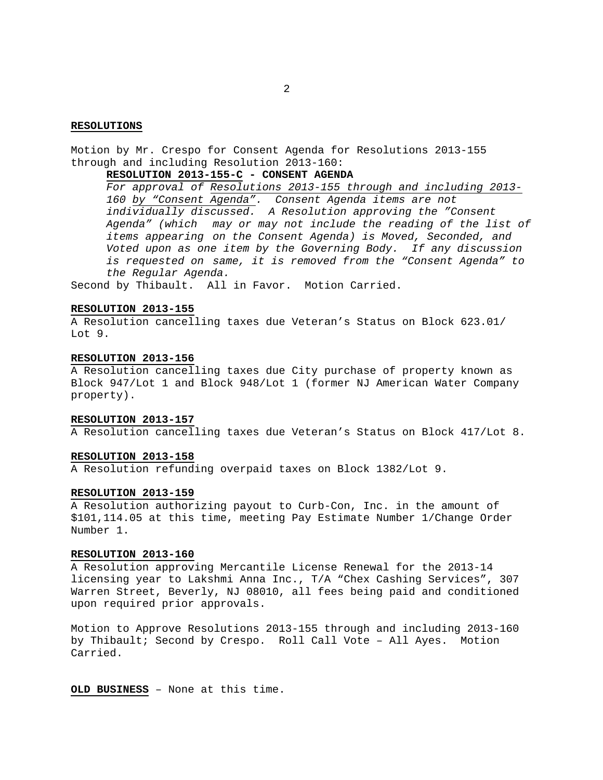### **RESOLUTIONS**

Motion by Mr. Crespo for Consent Agenda for Resolutions 2013-155 through and including Resolution 2013-160:

### **RESOLUTION 2013-155-C - CONSENT AGENDA**

*For approval of Resolutions 2013-155 through and including 2013- 160 by "Consent Agenda". Consent Agenda items are not individually discussed. A Resolution approving the "Consent Agenda" (which may or may not include the reading of the list of items appearing on the Consent Agenda) is Moved, Seconded, and Voted upon as one item by the Governing Body. If any discussion is requested on same, it is removed from the "Consent Agenda" to the Regular Agenda.* 

Second by Thibault. All in Favor. Motion Carried.

### **RESOLUTION 2013-155**

A Resolution cancelling taxes due Veteran's Status on Block 623.01/ Lot 9.

### **RESOLUTION 2013-156**

A Resolution cancelling taxes due City purchase of property known as Block 947/Lot 1 and Block 948/Lot 1 (former NJ American Water Company property).

#### **RESOLUTION 2013-157**

A Resolution cancelling taxes due Veteran's Status on Block 417/Lot 8.

#### **RESOLUTION 2013-158**

A Resolution refunding overpaid taxes on Block 1382/Lot 9.

### **RESOLUTION 2013-159**

A Resolution authorizing payout to Curb-Con, Inc. in the amount of \$101,114.05 at this time, meeting Pay Estimate Number 1/Change Order Number 1.

### **RESOLUTION 2013-160**

A Resolution approving Mercantile License Renewal for the 2013-14 licensing year to Lakshmi Anna Inc., T/A "Chex Cashing Services", 307 Warren Street, Beverly, NJ 08010, all fees being paid and conditioned upon required prior approvals.

Motion to Approve Resolutions 2013-155 through and including 2013-160 by Thibault; Second by Crespo. Roll Call Vote – All Ayes. Motion Carried.

**OLD BUSINESS** – None at this time.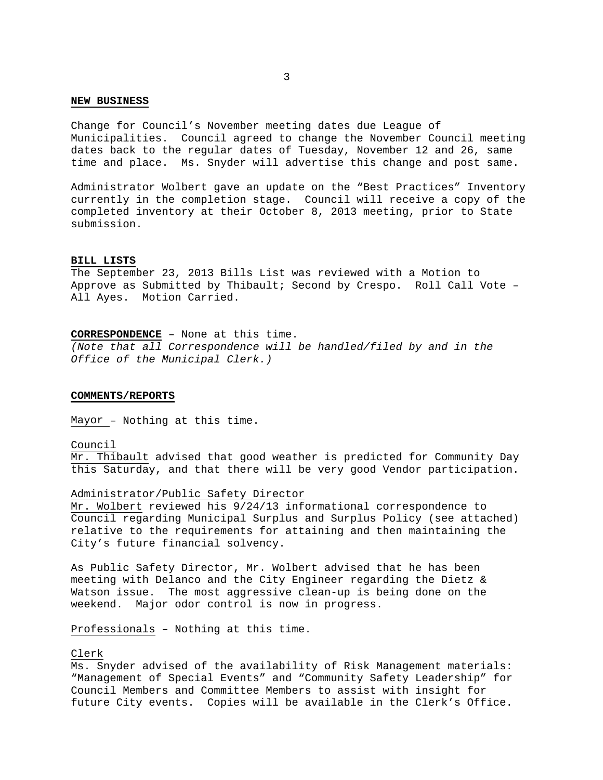#### **NEW BUSINESS**

Change for Council's November meeting dates due League of Municipalities. Council agreed to change the November Council meeting dates back to the regular dates of Tuesday, November 12 and 26, same time and place. Ms. Snyder will advertise this change and post same.

Administrator Wolbert gave an update on the "Best Practices" Inventory currently in the completion stage. Council will receive a copy of the completed inventory at their October 8, 2013 meeting, prior to State submission.

#### **BILL LISTS**

The September 23, 2013 Bills List was reviewed with a Motion to Approve as Submitted by Thibault; Second by Crespo. Roll Call Vote – All Ayes. Motion Carried.

## **CORRESPONDENCE** – None at this time.

*(Note that all Correspondence will be handled/filed by and in the Office of the Municipal Clerk.)* 

#### **COMMENTS/REPORTS**

Mayor – Nothing at this time.

#### Council

Mr. Thibault advised that good weather is predicted for Community Day this Saturday, and that there will be very good Vendor participation.

#### Administrator/Public Safety Director

Mr. Wolbert reviewed his 9/24/13 informational correspondence to Council regarding Municipal Surplus and Surplus Policy (see attached) relative to the requirements for attaining and then maintaining the City's future financial solvency.

As Public Safety Director, Mr. Wolbert advised that he has been meeting with Delanco and the City Engineer regarding the Dietz & Watson issue. The most aggressive clean-up is being done on the weekend. Major odor control is now in progress.

Professionals – Nothing at this time.

### Clerk

Ms. Snyder advised of the availability of Risk Management materials: "Management of Special Events" and "Community Safety Leadership" for Council Members and Committee Members to assist with insight for future City events. Copies will be available in the Clerk's Office.